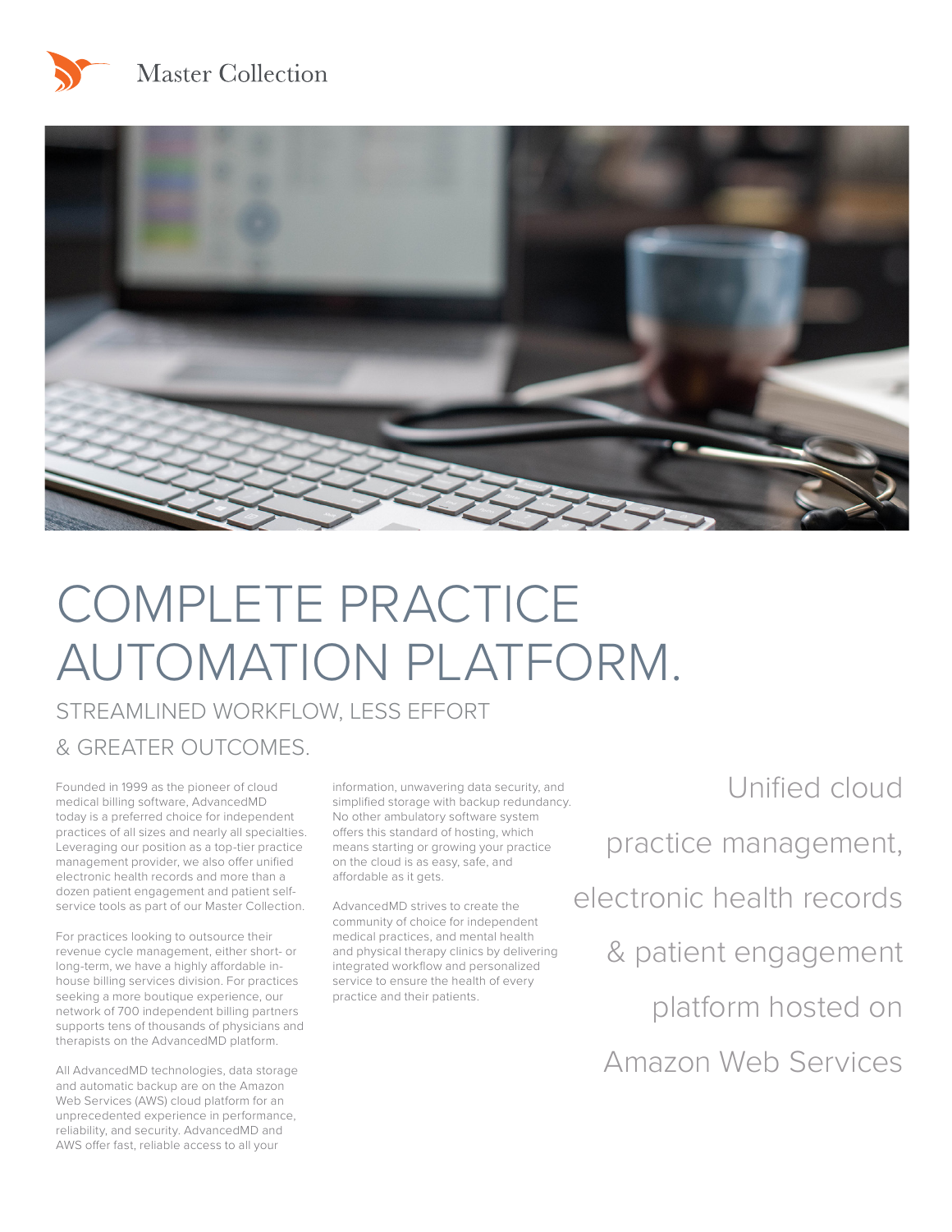



# COMPLETE PRACTICE AUTOMATION PLATFORM.

STREAMLINED WORKFLOW, LESS EFFORT & GREATER OUTCOMES.

Founded in 1999 as the pioneer of cloud medical billing software, AdvancedMD today is a preferred choice for independent practices of all sizes and nearly all specialties. Leveraging our position as a top-tier practice management provider, we also offer unified electronic health records and more than a dozen patient engagement and patient selfservice tools as part of our Master Collection.

For practices looking to outsource their revenue cycle management, either short- or long-term, we have a highly affordable inhouse billing services division. For practices seeking a more boutique experience, our network of 700 independent billing partners supports tens of thousands of physicians and therapists on the AdvancedMD platform.

All AdvancedMD technologies, data storage and automatic backup are on the Amazon Web Services (AWS) cloud platform for an unprecedented experience in performance, reliability, and security. AdvancedMD and AWS offer fast, reliable access to all your

information, unwavering data security, and simplified storage with backup redundancy. No other ambulatory software system offers this standard of hosting, which means starting or growing your practice on the cloud is as easy, safe, and affordable as it gets.

AdvancedMD strives to create the community of choice for independent medical practices, and mental health and physical therapy clinics by delivering integrated workflow and personalized service to ensure the health of every practice and their patients.

Unified cloud practice management, electronic health records & patient engagement platform hosted on Amazon Web Services